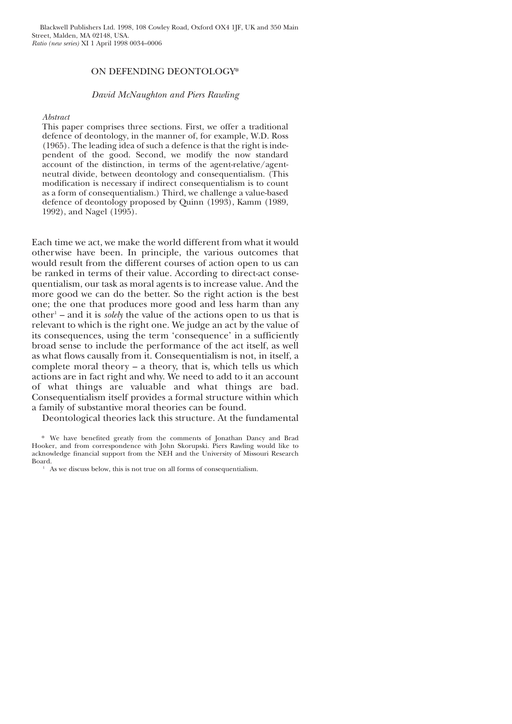# ON DEFENDING DEONTOLOGY\*

## *David McNaughton and Piers Rawling*

#### *Abstract*

This paper comprises three sections. First, we offer a traditional defence of deontology, in the manner of, for example, W.D. Ross (1965). The leading idea of such a defence is that the right is independent of the good. Second, we modify the now standard account of the distinction, in terms of the agent-relative/agentneutral divide, between deontology and consequentialism. (This modification is necessary if indirect consequentialism is to count as a form of consequentialism.) Third, we challenge a value-based defence of deontology proposed by Quinn (1993), Kamm (1989, 1992), and Nagel (1995).

Each time we act, we make the world different from what it would otherwise have been. In principle, the various outcomes that would result from the different courses of action open to us can be ranked in terms of their value. According to direct-act consequentialism, our task as moral agents is to increase value. And the more good we can do the better. So the right action is the best one; the one that produces more good and less harm than any other1 – and it is *solely* the value of the actions open to us that is relevant to which is the right one. We judge an act by the value of its consequences, using the term 'consequence' in a sufficiently broad sense to include the performance of the act itself, as well as what flows causally from it. Consequentialism is not, in itself, a complete moral theory – a theory, that is, which tells us which actions are in fact right and why. We need to add to it an account of what things are valuable and what things are bad. Consequentialism itself provides a formal structure within which a family of substantive moral theories can be found.

Deontological theories lack this structure. At the fundamental

<sup>\*</sup> We have benefited greatly from the comments of Jonathan Dancy and Brad Hooker, and from correspondence with John Skorupski. Piers Rawling would like to acknowledge financial support from the NEH and the University of Missouri Research Board.

<sup>&</sup>lt;sup>1</sup> As we discuss below, this is not true on all forms of consequentialism.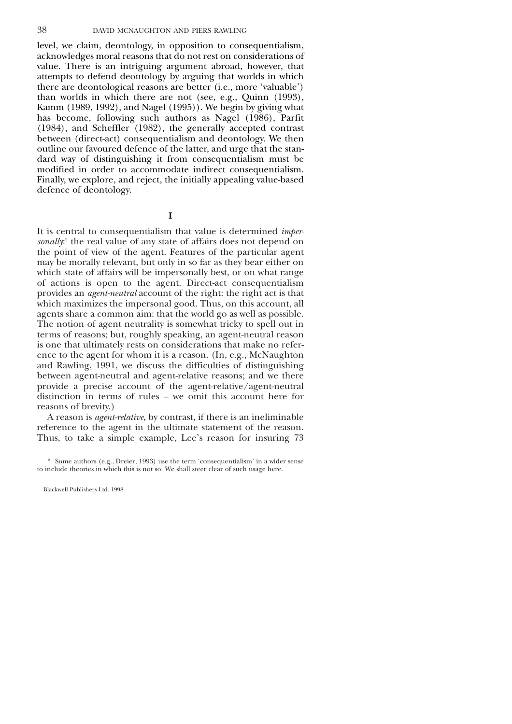level, we claim, deontology, in opposition to consequentialism, acknowledges moral reasons that do not rest on considerations of value. There is an intriguing argument abroad, however, that attempts to defend deontology by arguing that worlds in which there are deontological reasons are better (i.e., more 'valuable') than worlds in which there are not (see, e.g., Quinn (1993), Kamm (1989, 1992), and Nagel (1995)). We begin by giving what has become, following such authors as Nagel (1986), Parfit (1984), and Scheffler (1982), the generally accepted contrast between (direct-act) consequentialism and deontology. We then outline our favoured defence of the latter, and urge that the standard way of distinguishing it from consequentialism must be modified in order to accommodate indirect consequentialism. Finally, we explore, and reject, the initially appealing value-based defence of deontology.

**I**

It is central to consequentialism that value is determined *impersonally*: <sup>2</sup> the real value of any state of affairs does not depend on the point of view of the agent. Features of the particular agent may be morally relevant, but only in so far as they bear either on which state of affairs will be impersonally best, or on what range of actions is open to the agent. Direct-act consequentialism provides an *agent-neutral* account of the right: the right act is that which maximizes the impersonal good. Thus, on this account, all agents share a common aim: that the world go as well as possible. The notion of agent neutrality is somewhat tricky to spell out in terms of reasons; but, roughly speaking, an agent-neutral reason is one that ultimately rests on considerations that make no reference to the agent for whom it is a reason. (In, e.g., McNaughton and Rawling, 1991, we discuss the difficulties of distinguishing between agent-neutral and agent-relative reasons; and we there provide a precise account of the agent-relative/agent-neutral distinction in terms of rules – we omit this account here for reasons of brevity.)

A reason is *agent-relative*, by contrast, if there is an ineliminable reference to the agent in the ultimate statement of the reason. Thus, to take a simple example, Lee's reason for insuring 73

<sup>&</sup>lt;sup>2</sup> Some authors (e.g., Dreier, 1993) use the term 'consequentialism' in a wider sense to include theories in which this is not so. We shall steer clear of such usage here.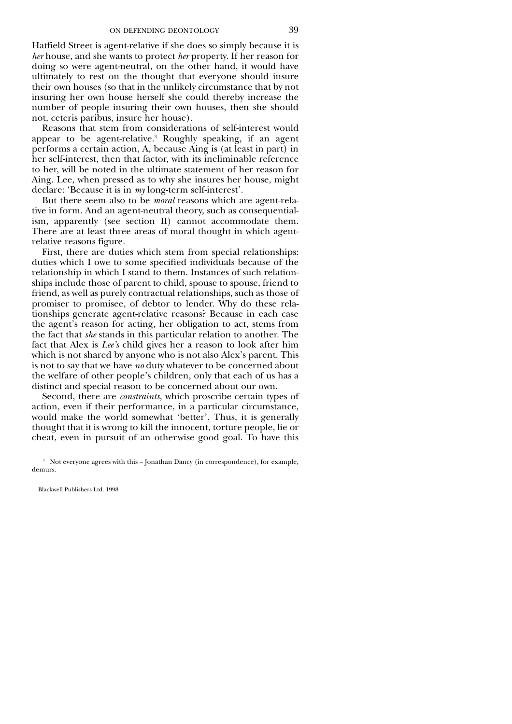Hatfield Street is agent-relative if she does so simply because it is *her* house, and she wants to protect *her* property. If her reason for doing so were agent-neutral, on the other hand, it would have ultimately to rest on the thought that everyone should insure their own houses (so that in the unlikely circumstance that by not insuring her own house herself she could thereby increase the number of people insuring their own houses, then she should not, ceteris paribus, insure her house).

Reasons that stem from considerations of self-interest would appear to be agent-relative.<sup>3</sup> Roughly speaking, if an agent performs a certain action, A, because Aing is (at least in part) in her self-interest, then that factor, with its ineliminable reference to her, will be noted in the ultimate statement of her reason for Aing. Lee, when pressed as to why she insures her house, might declare: 'Because it is in *my* long-term self-interest'.

But there seem also to be *moral* reasons which are agent-relative in form. And an agent-neutral theory, such as consequentialism, apparently (see section II) cannot accommodate them. There are at least three areas of moral thought in which agentrelative reasons figure.

First, there are duties which stem from special relationships: duties which I owe to some specified individuals because of the relationship in which I stand to them. Instances of such relationships include those of parent to child, spouse to spouse, friend to friend, as well as purely contractual relationships, such as those of promiser to promisee, of debtor to lender. Why do these relationships generate agent-relative reasons? Because in each case the agent's reason for acting, her obligation to act, stems from the fact that *she* stands in this particular relation to another. The fact that Alex is *Lee's* child gives her a reason to look after him which is not shared by anyone who is not also Alex's parent. This is not to say that we have *no* duty whatever to be concerned about the welfare of other people's children, only that each of us has a distinct and special reason to be concerned about our own.

Second, there are *constraints*, which proscribe certain types of action, even if their performance, in a particular circumstance, would make the world somewhat 'better'. Thus, it is generally thought that it is wrong to kill the innocent, torture people, lie or cheat, even in pursuit of an otherwise good goal. To have this

<sup>&</sup>lt;sup>3</sup> Not everyone agrees with this - Jonathan Dancy (in correspondence), for example, demurs.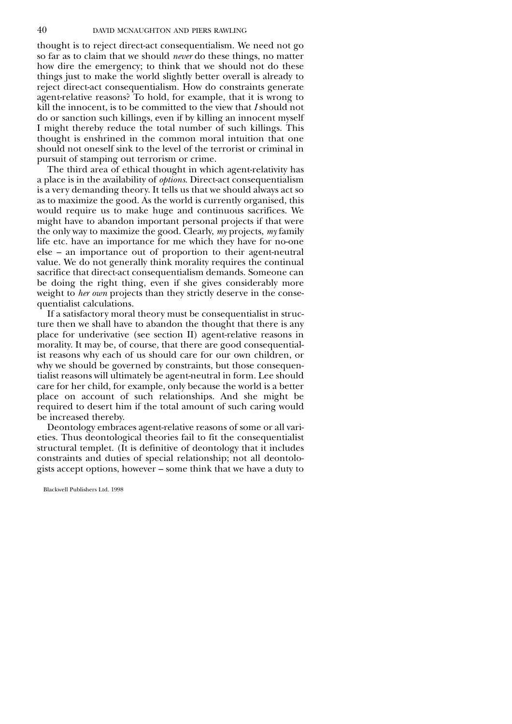thought is to reject direct-act consequentialism. We need not go so far as to claim that we should *never* do these things, no matter how dire the emergency; to think that we should not do these things just to make the world slightly better overall is already to reject direct-act consequentialism. How do constraints generate agent-relative reasons? To hold, for example, that it is wrong to kill the innocent, is to be committed to the view that *I* should not do or sanction such killings, even if by killing an innocent myself I might thereby reduce the total number of such killings. This thought is enshrined in the common moral intuition that one should not oneself sink to the level of the terrorist or criminal in pursuit of stamping out terrorism or crime.

The third area of ethical thought in which agent-relativity has a place is in the availability of *options*. Direct-act consequentialism is a very demanding theory. It tells us that we should always act so as to maximize the good. As the world is currently organised, this would require us to make huge and continuous sacrifices. We might have to abandon important personal projects if that were the only way to maximize the good. Clearly, *my* projects, *my* family life etc. have an importance for me which they have for no-one else – an importance out of proportion to their agent-neutral value. We do not generally think morality requires the continual sacrifice that direct-act consequentialism demands. Someone can be doing the right thing, even if she gives considerably more weight to *her own* projects than they strictly deserve in the consequentialist calculations.

If a satisfactory moral theory must be consequentialist in structure then we shall have to abandon the thought that there is any place for underivative (see section II) agent-relative reasons in morality. It may be, of course, that there are good consequentialist reasons why each of us should care for our own children, or why we should be governed by constraints, but those consequentialist reasons will ultimately be agent-neutral in form. Lee should care for her child, for example, only because the world is a better place on account of such relationships. And she might be required to desert him if the total amount of such caring would be increased thereby.

Deontology embraces agent-relative reasons of some or all varieties. Thus deontological theories fail to fit the consequentialist structural templet. (It is definitive of deontology that it includes constraints and duties of special relationship; not all deontologists accept options, however – some think that we have a duty to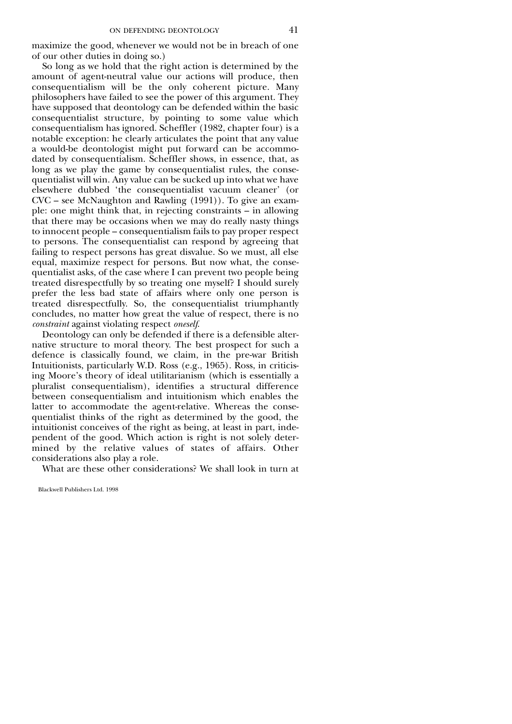maximize the good, whenever we would not be in breach of one of our other duties in doing so.)

So long as we hold that the right action is determined by the amount of agent-neutral value our actions will produce, then consequentialism will be the only coherent picture. Many philosophers have failed to see the power of this argument. They have supposed that deontology can be defended within the basic consequentialist structure, by pointing to some value which consequentialism has ignored. Scheffler (1982, chapter four) is a notable exception: he clearly articulates the point that any value a would-be deontologist might put forward can be accommodated by consequentialism. Scheffler shows, in essence, that, as long as we play the game by consequentialist rules, the consequentialist will win. Any value can be sucked up into what we have elsewhere dubbed 'the consequentialist vacuum cleaner' (or CVC – see McNaughton and Rawling (1991)). To give an example: one might think that, in rejecting constraints – in allowing that there may be occasions when we may do really nasty things to innocent people – consequentialism fails to pay proper respect to persons. The consequentialist can respond by agreeing that failing to respect persons has great disvalue. So we must, all else equal, maximize respect for persons. But now what, the consequentialist asks, of the case where I can prevent two people being treated disrespectfully by so treating one myself? I should surely prefer the less bad state of affairs where only one person is treated disrespectfully. So, the consequentialist triumphantly concludes, no matter how great the value of respect, there is no *constraint* against violating respect *oneself*.

Deontology can only be defended if there is a defensible alternative structure to moral theory. The best prospect for such a defence is classically found, we claim, in the pre-war British Intuitionists, particularly W.D. Ross (e.g., 1965). Ross, in criticising Moore's theory of ideal utilitarianism (which is essentially a pluralist consequentialism), identifies a structural difference between consequentialism and intuitionism which enables the latter to accommodate the agent-relative. Whereas the consequentialist thinks of the right as determined by the good, the intuitionist conceives of the right as being, at least in part, independent of the good. Which action is right is not solely determined by the relative values of states of affairs. Other considerations also play a role.

What are these other considerations? We shall look in turn at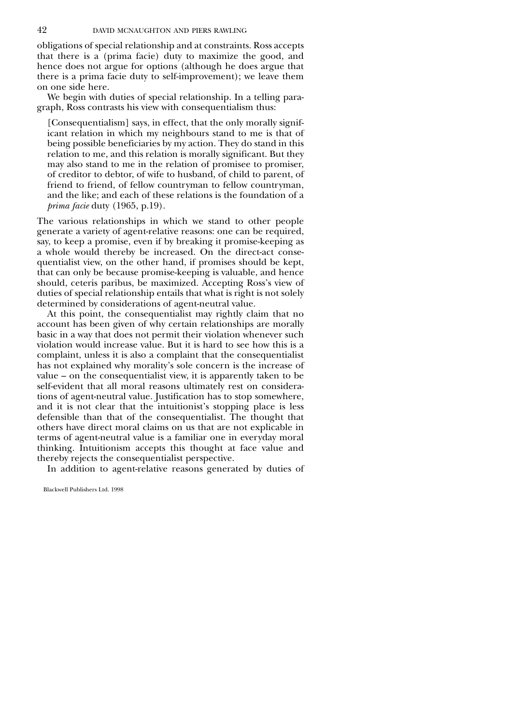obligations of special relationship and at constraints. Ross accepts that there is a (prima facie) duty to maximize the good, and hence does not argue for options (although he does argue that there is a prima facie duty to self-improvement); we leave them on one side here.

We begin with duties of special relationship. In a telling paragraph, Ross contrasts his view with consequentialism thus:

[Consequentialism] says, in effect, that the only morally significant relation in which my neighbours stand to me is that of being possible beneficiaries by my action. They do stand in this relation to me, and this relation is morally significant. But they may also stand to me in the relation of promisee to promiser, of creditor to debtor, of wife to husband, of child to parent, of friend to friend, of fellow countryman to fellow countryman, and the like; and each of these relations is the foundation of a *prima facie* duty (1965, p.19).

The various relationships in which we stand to other people generate a variety of agent-relative reasons: one can be required, say, to keep a promise, even if by breaking it promise-keeping as a whole would thereby be increased. On the direct-act consequentialist view, on the other hand, if promises should be kept, that can only be because promise-keeping is valuable, and hence should, ceteris paribus, be maximized. Accepting Ross's view of duties of special relationship entails that what is right is not solely determined by considerations of agent-neutral value.

At this point, the consequentialist may rightly claim that no account has been given of why certain relationships are morally basic in a way that does not permit their violation whenever such violation would increase value. But it is hard to see how this is a complaint, unless it is also a complaint that the consequentialist has not explained why morality's sole concern is the increase of value – on the consequentialist view, it is apparently taken to be self-evident that all moral reasons ultimately rest on considerations of agent-neutral value. Justification has to stop somewhere, and it is not clear that the intuitionist's stopping place is less defensible than that of the consequentialist. The thought that others have direct moral claims on us that are not explicable in terms of agent-neutral value is a familiar one in everyday moral thinking. Intuitionism accepts this thought at face value and thereby rejects the consequentialist perspective.

In addition to agent-relative reasons generated by duties of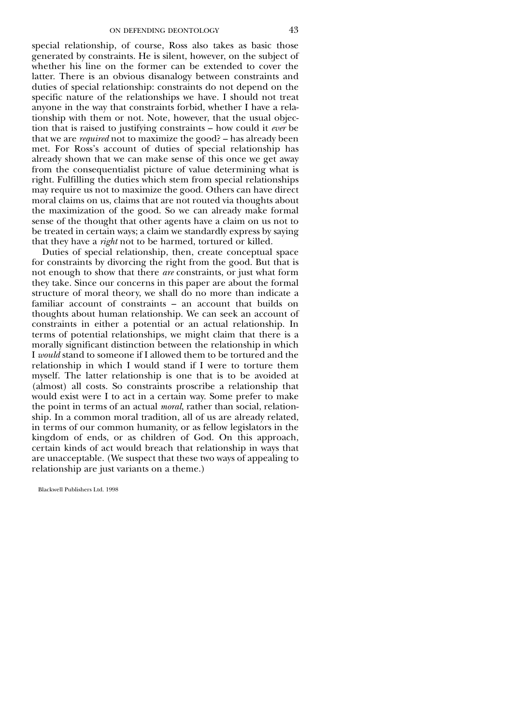special relationship, of course, Ross also takes as basic those generated by constraints. He is silent, however, on the subject of whether his line on the former can be extended to cover the latter. There is an obvious disanalogy between constraints and duties of special relationship: constraints do not depend on the specific nature of the relationships we have. I should not treat anyone in the way that constraints forbid, whether I have a relationship with them or not. Note, however, that the usual objection that is raised to justifying constraints – how could it *ever* be that we are *required* not to maximize the good? – has already been met. For Ross's account of duties of special relationship has already shown that we can make sense of this once we get away from the consequentialist picture of value determining what is right. Fulfilling the duties which stem from special relationships may require us not to maximize the good. Others can have direct moral claims on us, claims that are not routed via thoughts about the maximization of the good. So we can already make formal sense of the thought that other agents have a claim on us not to be treated in certain ways; a claim we standardly express by saying that they have a *right* not to be harmed, tortured or killed.

Duties of special relationship, then, create conceptual space for constraints by divorcing the right from the good. But that is not enough to show that there *are* constraints, or just what form they take. Since our concerns in this paper are about the formal structure of moral theory, we shall do no more than indicate a familiar account of constraints – an account that builds on thoughts about human relationship. We can seek an account of constraints in either a potential or an actual relationship. In terms of potential relationships, we might claim that there is a morally significant distinction between the relationship in which I *would* stand to someone if I allowed them to be tortured and the relationship in which I would stand if I were to torture them myself. The latter relationship is one that is to be avoided at (almost) all costs. So constraints proscribe a relationship that would exist were I to act in a certain way. Some prefer to make the point in terms of an actual *moral*, rather than social, relationship. In a common moral tradition, all of us are already related, in terms of our common humanity, or as fellow legislators in the kingdom of ends, or as children of God. On this approach, certain kinds of act would breach that relationship in ways that are unacceptable. (We suspect that these two ways of appealing to relationship are just variants on a theme.)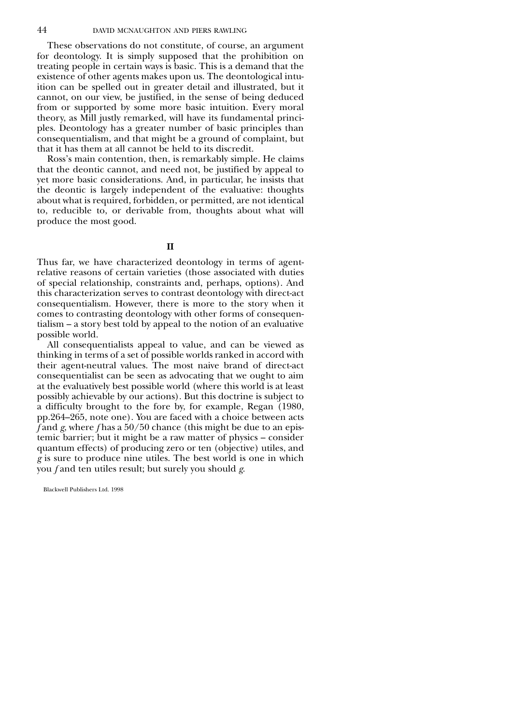These observations do not constitute, of course, an argument for deontology. It is simply supposed that the prohibition on treating people in certain ways is basic. This is a demand that the existence of other agents makes upon us. The deontological intuition can be spelled out in greater detail and illustrated, but it cannot, on our view, be justified, in the sense of being deduced from or supported by some more basic intuition. Every moral theory, as Mill justly remarked, will have its fundamental principles. Deontology has a greater number of basic principles than consequentialism, and that might be a ground of complaint, but that it has them at all cannot be held to its discredit.

Ross's main contention, then, is remarkably simple. He claims that the deontic cannot, and need not, be justified by appeal to yet more basic considerations. And, in particular, he insists that the deontic is largely independent of the evaluative: thoughts about what is required, forbidden, or permitted, are not identical to, reducible to, or derivable from, thoughts about what will produce the most good.

**II**

Thus far, we have characterized deontology in terms of agentrelative reasons of certain varieties (those associated with duties of special relationship, constraints and, perhaps, options). And this characterization serves to contrast deontology with direct-act consequentialism. However, there is more to the story when it comes to contrasting deontology with other forms of consequentialism – a story best told by appeal to the notion of an evaluative possible world.

All consequentialists appeal to value, and can be viewed as thinking in terms of a set of possible worlds ranked in accord with their agent-neutral values. The most naive brand of direct-act consequentialist can be seen as advocating that we ought to aim at the evaluatively best possible world (where this world is at least possibly achievable by our actions). But this doctrine is subject to a difficulty brought to the fore by, for example, Regan (1980, pp.264–265, note one). You are faced with a choice between acts *f* and *g*, where *f* has a 50/50 chance (this might be due to an epistemic barrier; but it might be a raw matter of physics – consider quantum effects) of producing zero or ten (objective) utiles, and *g* is sure to produce nine utiles. The best world is one in which you *f* and ten utiles result; but surely you should *g*.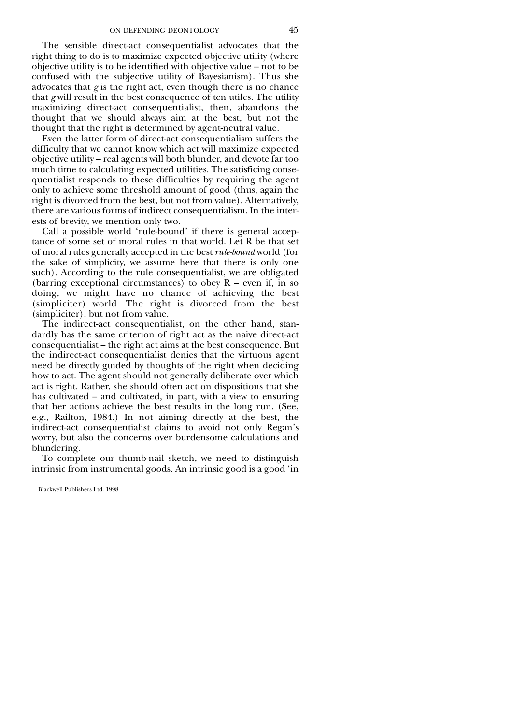The sensible direct-act consequentialist advocates that the right thing to do is to maximize expected objective utility (where objective utility is to be identified with objective value – not to be confused with the subjective utility of Bayesianism). Thus she advocates that *g* is the right act, even though there is no chance that *g* will result in the best consequence of ten utiles. The utility maximizing direct-act consequentialist, then, abandons the thought that we should always aim at the best, but not the thought that the right is determined by agent-neutral value.

Even the latter form of direct-act consequentialism suffers the difficulty that we cannot know which act will maximize expected objective utility – real agents will both blunder, and devote far too much time to calculating expected utilities. The satisficing consequentialist responds to these difficulties by requiring the agent only to achieve some threshold amount of good (thus, again the right is divorced from the best, but not from value). Alternatively, there are various forms of indirect consequentialism. In the interests of brevity, we mention only two.

Call a possible world 'rule-bound' if there is general acceptance of some set of moral rules in that world. Let R be that set of moral rules generally accepted in the best *rule-bound* world (for the sake of simplicity, we assume here that there is only one such). According to the rule consequentialist, we are obligated (barring exceptional circumstances) to obey  $R$  – even if, in so doing, we might have no chance of achieving the best (simpliciter) world. The right is divorced from the best (simpliciter), but not from value.

The indirect-act consequentialist, on the other hand, standardly has the same criterion of right act as the naive direct-act consequentialist – the right act aims at the best consequence. But the indirect-act consequentialist denies that the virtuous agent need be directly guided by thoughts of the right when deciding how to act. The agent should not generally deliberate over which act is right. Rather, she should often act on dispositions that she has cultivated – and cultivated, in part, with a view to ensuring that her actions achieve the best results in the long run. (See, e.g., Railton, 1984.) In not aiming directly at the best, the indirect-act consequentialist claims to avoid not only Regan's worry, but also the concerns over burdensome calculations and blundering.

To complete our thumb-nail sketch, we need to distinguish intrinsic from instrumental goods. An intrinsic good is a good 'in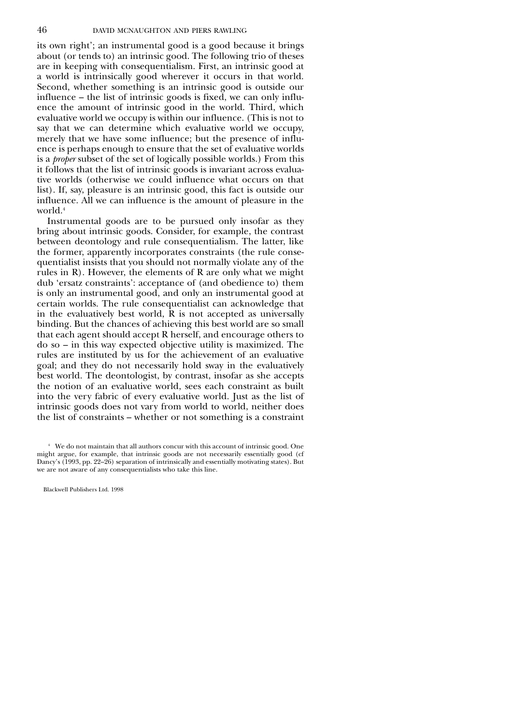its own right'; an instrumental good is a good because it brings about (or tends to) an intrinsic good. The following trio of theses are in keeping with consequentialism. First, an intrinsic good at a world is intrinsically good wherever it occurs in that world. Second, whether something is an intrinsic good is outside our influence – the list of intrinsic goods is fixed, we can only influence the amount of intrinsic good in the world. Third, which evaluative world we occupy is within our influence. (This is not to say that we can determine which evaluative world we occupy, merely that we have some influence; but the presence of influence is perhaps enough to ensure that the set of evaluative worlds is a *proper* subset of the set of logically possible worlds.) From this it follows that the list of intrinsic goods is invariant across evaluative worlds (otherwise we could influence what occurs on that list). If, say, pleasure is an intrinsic good, this fact is outside our influence. All we can influence is the amount of pleasure in the world.<sup>4</sup>

Instrumental goods are to be pursued only insofar as they bring about intrinsic goods. Consider, for example, the contrast between deontology and rule consequentialism. The latter, like the former, apparently incorporates constraints (the rule consequentialist insists that you should not normally violate any of the rules in  $R$ ). However, the elements of  $R$  are only what we might dub 'ersatz constraints': acceptance of (and obedience to) them is only an instrumental good, and only an instrumental good at certain worlds. The rule consequentialist can acknowledge that in the evaluatively best world,  $\overrightarrow{R}$  is not accepted as universally binding. But the chances of achieving this best world are so small that each agent should accept R herself, and encourage others to do so – in this way expected objective utility is maximized. The rules are instituted by us for the achievement of an evaluative goal; and they do not necessarily hold sway in the evaluatively best world. The deontologist, by contrast, insofar as she accepts the notion of an evaluative world, sees each constraint as built into the very fabric of every evaluative world. Just as the list of intrinsic goods does not vary from world to world, neither does the list of constraints – whether or not something is a constraint

<sup>4</sup> We do not maintain that all authors concur with this account of intrinsic good. One might argue, for example, that intrinsic goods are not necessarily essentially good (cf Dancy's (1993, pp. 22–26) separation of intrinsically and essentially motivating states). But we are not aware of any consequentialists who take this line.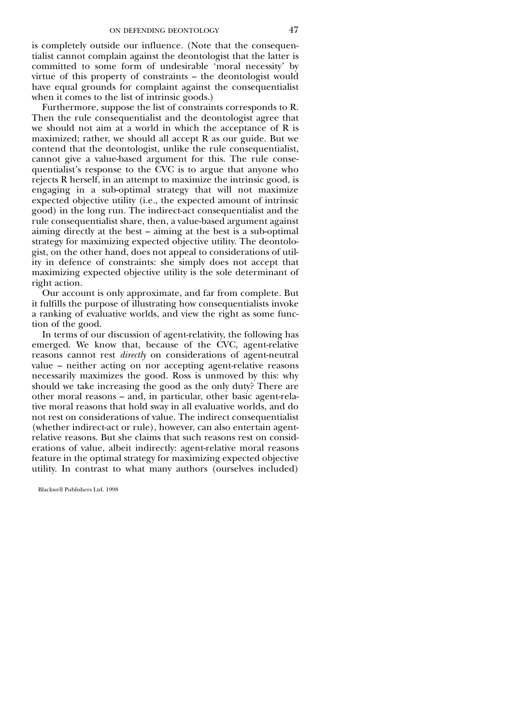is completely outside our influence. (Note that the consequentialist cannot complain against the deontologist that the latter is committed to some form of undesirable 'moral necessity' by virtue of this property of constraints – the deontologist would have equal grounds for complaint against the consequentialist when it comes to the list of intrinsic goods.)

Furthermore, suppose the list of constraints corresponds to R. Then the rule consequentialist and the deontologist agree that we should not aim at a world in which the acceptance of R is maximized; rather, we should all accept R as our guide. But we contend that the deontologist, unlike the rule consequentialist, cannot give a value-based argument for this. The rule consequentialist's response to the CVC is to argue that anyone who rejects R herself, in an attempt to maximize the intrinsic good, is engaging in a sub-optimal strategy that will not maximize expected objective utility (i.e., the expected amount of intrinsic good) in the long run. The indirect-act consequentialist and the rule consequentialist share, then, a value-based argument against aiming directly at the best – aiming at the best is a sub-optimal strategy for maximizing expected objective utility. The deontologist, on the other hand, does not appeal to considerations of utility in defence of constraints: she simply does not accept that maximizing expected objective utility is the sole determinant of right action.

Our account is only approximate, and far from complete. But it fulfills the purpose of illustrating how consequentialists invoke a ranking of evaluative worlds, and view the right as some function of the good.

In terms of our discussion of agent-relativity, the following has emerged. We know that, because of the CVC, agent-relative reasons cannot rest *directly* on considerations of agent-neutral value – neither acting on nor accepting agent-relative reasons necessarily maximizes the good. Ross is unmoved by this: why should we take increasing the good as the only duty? There are other moral reasons – and, in particular, other basic agent-relative moral reasons that hold sway in all evaluative worlds, and do not rest on considerations of value. The indirect consequentialist (whether indirect-act or rule), however, can also entertain agentrelative reasons. But she claims that such reasons rest on considerations of value, albeit indirectly: agent-relative moral reasons feature in the optimal strategy for maximizing expected objective utility. In contrast to what many authors (ourselves included)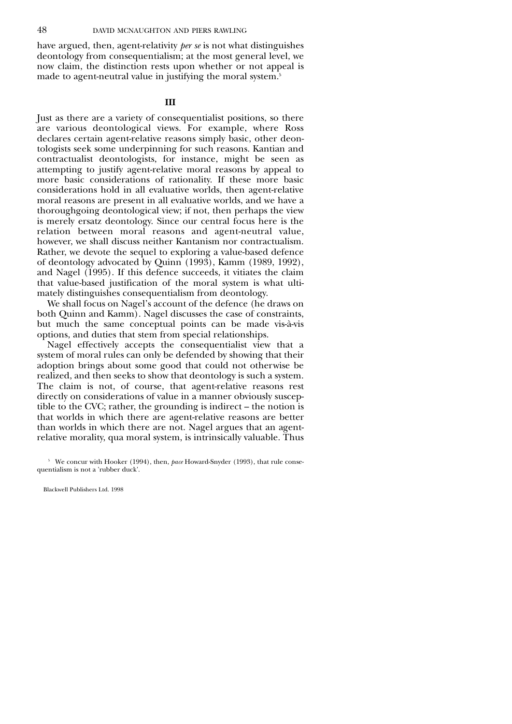have argued, then, agent-relativity *per se* is not what distinguishes deontology from consequentialism; at the most general level, we now claim, the distinction rests upon whether or not appeal is made to agent-neutral value in justifying the moral system.<sup>5</sup>

### **III**

Just as there are a variety of consequentialist positions, so there are various deontological views. For example, where Ross declares certain agent-relative reasons simply basic, other deontologists seek some underpinning for such reasons. Kantian and contractualist deontologists, for instance, might be seen as attempting to justify agent-relative moral reasons by appeal to more basic considerations of rationality. If these more basic considerations hold in all evaluative worlds, then agent-relative moral reasons are present in all evaluative worlds, and we have a thoroughgoing deontological view; if not, then perhaps the view is merely ersatz deontology. Since our central focus here is the relation between moral reasons and agent-neutral value, however, we shall discuss neither Kantanism nor contractualism. Rather, we devote the sequel to exploring a value-based defence of deontology advocated by Quinn (1993), Kamm (1989, 1992), and Nagel (1995). If this defence succeeds, it vitiates the claim that value-based justification of the moral system is what ultimately distinguishes consequentialism from deontology.

We shall focus on Nagel's account of the defence (he draws on both Quinn and Kamm). Nagel discusses the case of constraints, but much the same conceptual points can be made vis-à-vis options, and duties that stem from special relationships.

Nagel effectively accepts the consequentialist view that a system of moral rules can only be defended by showing that their adoption brings about some good that could not otherwise be realized, and then seeks to show that deontology is such a system. The claim is not, of course, that agent-relative reasons rest directly on considerations of value in a manner obviously susceptible to the CVC; rather, the grounding is indirect – the notion is that worlds in which there are agent-relative reasons are better than worlds in which there are not. Nagel argues that an agentrelative morality, qua moral system, is intrinsically valuable. Thus

<sup>&</sup>lt;sup>5</sup> We concur with Hooker (1994), then, *pace* Howard-Snyder (1993), that rule consequentialism is not a 'rubber duck'.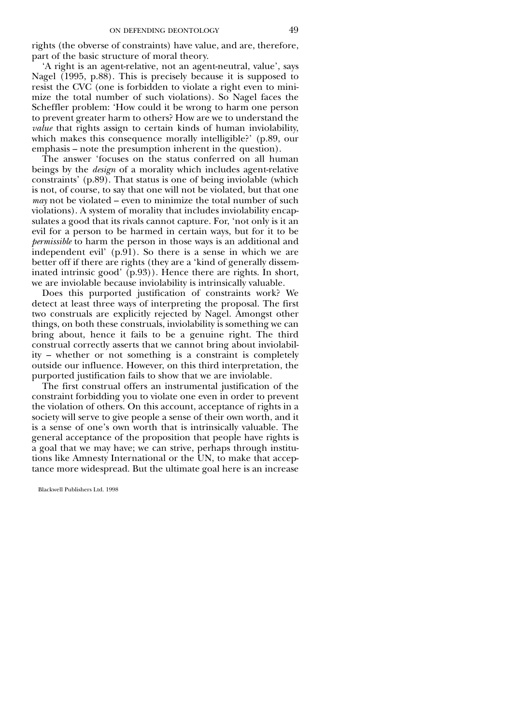rights (the obverse of constraints) have value, and are, therefore, part of the basic structure of moral theory.

'A right is an agent-relative, not an agent-neutral, value', says Nagel (1995, p.88). This is precisely because it is supposed to resist the CVC (one is forbidden to violate a right even to minimize the total number of such violations). So Nagel faces the Scheffler problem: 'How could it be wrong to harm one person to prevent greater harm to others? How are we to understand the *value* that rights assign to certain kinds of human inviolability, which makes this consequence morally intelligible?' (p.89, our emphasis – note the presumption inherent in the question).

The answer 'focuses on the status conferred on all human beings by the *design* of a morality which includes agent-relative constraints' (p.89). That status is one of being inviolable (which is not, of course, to say that one will not be violated, but that one *may* not be violated – even to minimize the total number of such violations). A system of morality that includes inviolability encapsulates a good that its rivals cannot capture. For, 'not only is it an evil for a person to be harmed in certain ways, but for it to be *permissible* to harm the person in those ways is an additional and independent evil' (p.91). So there is a sense in which we are better off if there are rights (they are a 'kind of generally disseminated intrinsic good' (p.93)). Hence there are rights. In short, we are inviolable because inviolability is intrinsically valuable.

Does this purported justification of constraints work? We detect at least three ways of interpreting the proposal. The first two construals are explicitly rejected by Nagel. Amongst other things, on both these construals, inviolability is something we can bring about, hence it fails to be a genuine right. The third construal correctly asserts that we cannot bring about inviolability – whether or not something is a constraint is completely outside our influence. However, on this third interpretation, the purported justification fails to show that we are inviolable.

The first construal offers an instrumental justification of the constraint forbidding you to violate one even in order to prevent the violation of others. On this account, acceptance of rights in a society will serve to give people a sense of their own worth, and it is a sense of one's own worth that is intrinsically valuable. The general acceptance of the proposition that people have rights is a goal that we may have; we can strive, perhaps through institutions like Amnesty International or the UN, to make that acceptance more widespread. But the ultimate goal here is an increase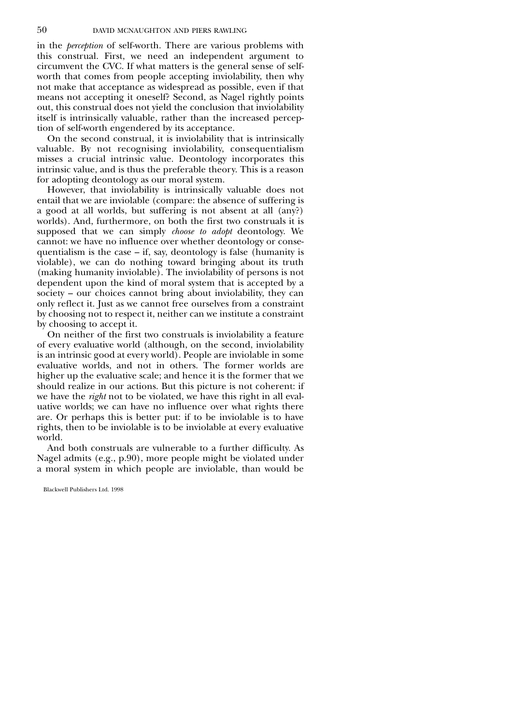in the *perception* of self-worth. There are various problems with this construal. First, we need an independent argument to circumvent the CVC. If what matters is the general sense of selfworth that comes from people accepting inviolability, then why not make that acceptance as widespread as possible, even if that means not accepting it oneself? Second, as Nagel rightly points out, this construal does not yield the conclusion that inviolability itself is intrinsically valuable, rather than the increased perception of self-worth engendered by its acceptance.

On the second construal, it is inviolability that is intrinsically valuable. By not recognising inviolability, consequentialism misses a crucial intrinsic value. Deontology incorporates this intrinsic value, and is thus the preferable theory. This is a reason for adopting deontology as our moral system.

However, that inviolability is intrinsically valuable does not entail that we are inviolable (compare: the absence of suffering is a good at all worlds, but suffering is not absent at all (any?) worlds). And, furthermore, on both the first two construals it is supposed that we can simply *choose to adopt* deontology. We cannot: we have no influence over whether deontology or consequentialism is the case – if, say, deontology is false (humanity is violable), we can do nothing toward bringing about its truth (making humanity inviolable). The inviolability of persons is not dependent upon the kind of moral system that is accepted by a society – our choices cannot bring about inviolability, they can only reflect it. Just as we cannot free ourselves from a constraint by choosing not to respect it, neither can we institute a constraint by choosing to accept it.

On neither of the first two construals is inviolability a feature of every evaluative world (although, on the second, inviolability is an intrinsic good at every world). People are inviolable in some evaluative worlds, and not in others. The former worlds are higher up the evaluative scale; and hence it is the former that we should realize in our actions. But this picture is not coherent: if we have the *right* not to be violated, we have this right in all evaluative worlds; we can have no influence over what rights there are. Or perhaps this is better put: if to be inviolable is to have rights, then to be inviolable is to be inviolable at every evaluative world.

And both construals are vulnerable to a further difficulty. As Nagel admits (e.g., p.90), more people might be violated under a moral system in which people are inviolable, than would be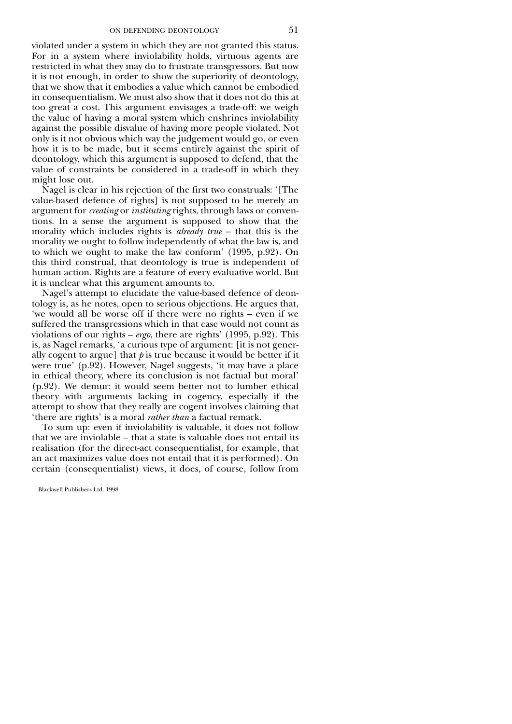violated under a system in which they are not granted this status. For in a system where inviolability holds, virtuous agents are restricted in what they may do to frustrate transgressors. But now it is not enough, in order to show the superiority of deontology, that we show that it embodies a value which cannot be embodied in consequentialism. We must also show that it does not do this at too great a cost. This argument envisages a trade-off: we weigh the value of having a moral system which enshrines inviolability against the possible disvalue of having more people violated. Not only is it not obvious which way the judgement would go, or even how it is to be made, but it seems entirely against the spirit of deontology, which this argument is supposed to defend, that the value of constraints be considered in a trade-off in which they might lose out.

Nagel is clear in his rejection of the first two construals: '[The value-based defence of rights] is not supposed to be merely an argument for *creating* or *instituting* rights, through laws or conventions. In a sense the argument is supposed to show that the morality which includes rights is *already true* – that this is the morality we ought to follow independently of what the law is, and to which we ought to make the law conform' (1995, p.92). On this third construal, that deontology is true is independent of human action. Rights are a feature of every evaluative world. But it is unclear what this argument amounts to.

Nagel's attempt to elucidate the value-based defence of deontology is, as he notes, open to serious objections. He argues that, 'we would all be worse off if there were no rights – even if we suffered the transgressions which in that case would not count as violations of our rights – *ergo*, there are rights' (1995, p.92). This is, as Nagel remarks, 'a curious type of argument: [it is not generally cogent to argue] that  $p$  is true because it would be better if it were true' (p.92). However, Nagel suggests, 'it may have a place in ethical theory, where its conclusion is not factual but moral' (p.92). We demur: it would seem better not to lumber ethical theory with arguments lacking in cogency, especially if the attempt to show that they really are cogent involves claiming that 'there are rights' is a moral *rather than* a factual remark.

To sum up: even if inviolability is valuable, it does not follow that we are inviolable – that a state is valuable does not entail its realisation (for the direct-act consequentialist, for example, that an act maximizes value does not entail that it is performed). On certain (consequentialist) views, it does, of course, follow from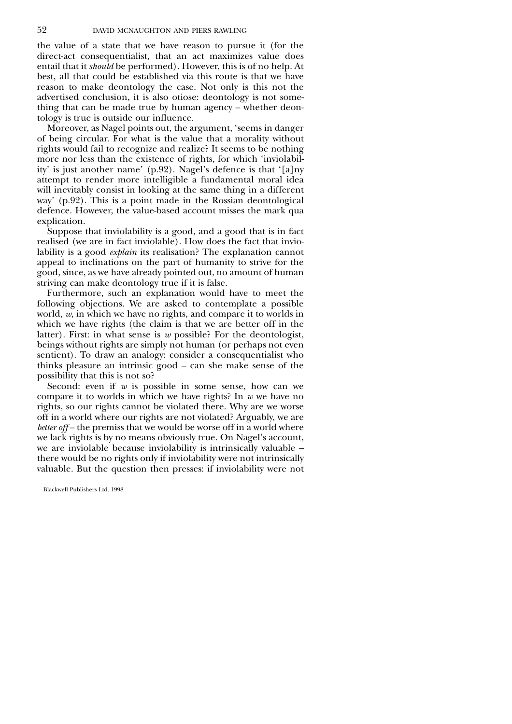the value of a state that we have reason to pursue it (for the direct-act consequentialist, that an act maximizes value does entail that it *should* be performed). However, this is of no help. At best, all that could be established via this route is that we have reason to make deontology the case. Not only is this not the advertised conclusion, it is also otiose: deontology is not something that can be made true by human agency – whether deontology is true is outside our influence.

Moreover, as Nagel points out, the argument, 'seems in danger of being circular. For what is the value that a morality without rights would fail to recognize and realize? It seems to be nothing more nor less than the existence of rights, for which 'inviolability' is just another name' (p.92). Nagel's defence is that '[a]ny attempt to render more intelligible a fundamental moral idea will inevitably consist in looking at the same thing in a different way' (p.92). This is a point made in the Rossian deontological defence. However, the value-based account misses the mark qua explication.

Suppose that inviolability is a good, and a good that is in fact realised (we are in fact inviolable). How does the fact that inviolability is a good *explain* its realisation? The explanation cannot appeal to inclinations on the part of humanity to strive for the good, since, as we have already pointed out, no amount of human striving can make deontology true if it is false.

Furthermore, such an explanation would have to meet the following objections. We are asked to contemplate a possible world, *w*, in which we have no rights, and compare it to worlds in which we have rights (the claim is that we are better off in the latter). First: in what sense is *w* possible? For the deontologist, beings without rights are simply not human (or perhaps not even sentient). To draw an analogy: consider a consequentialist who thinks pleasure an intrinsic good – can she make sense of the possibility that this is not so?

Second: even if  $w$  is possible in some sense, how can we compare it to worlds in which we have rights? In *w* we have no rights, so our rights cannot be violated there. Why are we worse off in a world where our rights are not violated? Arguably, we are *better off* – the premiss that we would be worse off in a world where we lack rights is by no means obviously true. On Nagel's account, we are inviolable because inviolability is intrinsically valuable – there would be no rights only if inviolability were not intrinsically valuable. But the question then presses: if inviolability were not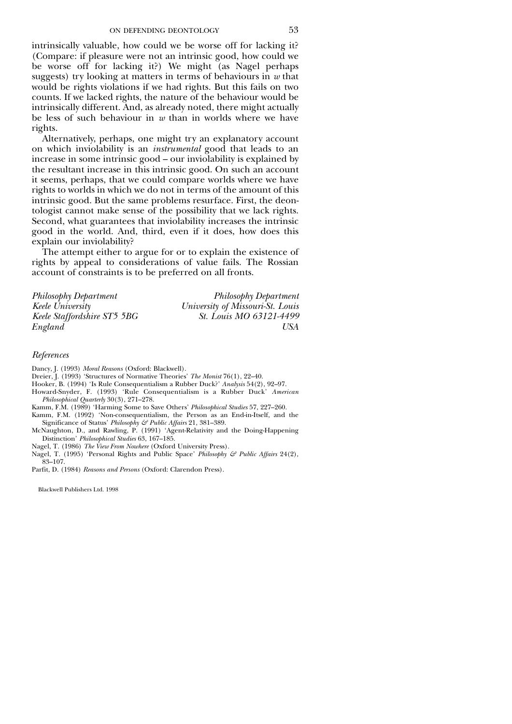intrinsically valuable, how could we be worse off for lacking it? (Compare: if pleasure were not an intrinsic good, how could we be worse off for lacking it?) We might (as Nagel perhaps suggests) try looking at matters in terms of behaviours in *w* that would be rights violations if we had rights. But this fails on two counts. If we lacked rights, the nature of the behaviour would be intrinsically different. And, as already noted, there might actually be less of such behaviour in *w* than in worlds where we have rights.

Alternatively, perhaps, one might try an explanatory account on which inviolability is an *instrumental* good that leads to an increase in some intrinsic good – our inviolability is explained by the resultant increase in this intrinsic good. On such an account it seems, perhaps, that we could compare worlds where we have rights to worlds in which we do not in terms of the amount of this intrinsic good. But the same problems resurface. First, the deontologist cannot make sense of the possibility that we lack rights. Second, what guarantees that inviolability increases the intrinsic good in the world. And, third, even if it does, how does this explain our inviolability?

The attempt either to argue for or to explain the existence of rights by appeal to considerations of value fails. The Rossian account of constraints is to be preferred on all fronts.

*England* 

*Philosophy Department Philosophy Department Keele University University of Missouri-St. Louis Keele Staffordshire ST5 5BG St. Louis MO 63121-4499* 

### *References*

Dancy, J. (1993) *Moral Reasons* (Oxford: Blackwell).

- Dreier, J. (1993) 'Structures of Normative Theories' *The Monist* 76(1), 22–40.
- Hooker, B. (1994) 'Is Rule Consequentialism a Rubber Duck?' *Analysis* 54(2), 92–97.
- Howard-Snyder, F. (1993) 'Rule Consequentialism is a Rubber Duck' *American Philosophical Quarterly* 30(3), 271–278.
- Kamm, F.M. (1989) 'Harming Some to Save Others' *Philosophical Studies* 57, 227–260.
- Kamm, F.M. (1992) 'Non-consequentialism, the Person as an End-in-Itself, and the Significance of Status' *Philosophy & Public Affairs* 21, 381–389.
- McNaughton, D., and Rawling, P. (1991) 'Agent-Relativity and the Doing-Happening Distinction' *Philosophical Studies* 63, 167–185.
- Nagel, T. (1986) *The View From Nowhere* (Oxford University Press).
- Nagel, T. (1995) 'Personal Rights and Public Space' *Philosophy & Public Affairs* 24(2), 83–107.
- Parfit, D. (1984) *Reasons and Persons* (Oxford: Clarendon Press).